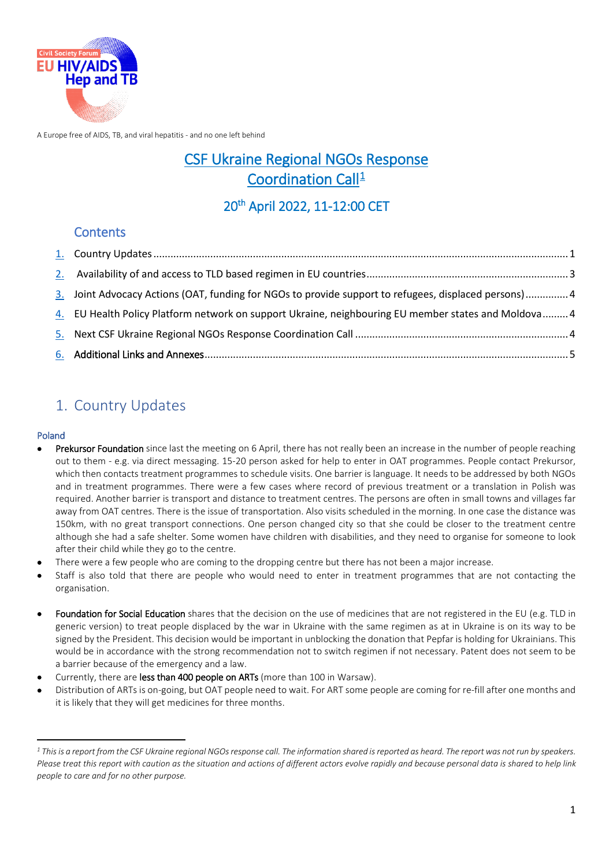

A Europe free of AIDS, TB, and viral hepatitis - and no one left behind

## CSF Ukraine Regional NGOs Response Coordination Call<sup>1</sup>

### 20th April 2022, 11-12:00 CET

### **Contents**

| 3. Joint Advocacy Actions (OAT, funding for NGOs to provide support to refugees, displaced persons)4 |  |
|------------------------------------------------------------------------------------------------------|--|
| 4. EU Health Policy Platform network on support Ukraine, neighbouring EU member states and Moldova 4 |  |
|                                                                                                      |  |
|                                                                                                      |  |

## <span id="page-0-0"></span>1. Country Updates

#### Poland

<u>.</u>

- Prekursor Foundation since last the meeting on 6 April, there has not really been an increase in the number of people reaching out to them - e.g. via direct messaging. 15-20 person asked for help to enter in OAT programmes. People contact Prekursor, which then contacts treatment programmes to schedule visits. One barrier is language. It needs to be addressed by both NGOs and in treatment programmes. There were a few cases where record of previous treatment or a translation in Polish was required. Another barrier is transport and distance to treatment centres. The persons are often in small towns and villages far away from OAT centres. There is the issue of transportation. Also visits scheduled in the morning. In one case the distance was 150km, with no great transport connections. One person changed city so that she could be closer to the treatment centre although she had a safe shelter. Some women have children with disabilities, and they need to organise for someone to look after their child while they go to the centre.
- There were a few people who are coming to the dropping centre but there has not been a major increase.
- Staff is also told that there are people who would need to enter in treatment programmes that are not contacting the organisation.
- Foundation for Social Education shares that the decision on the use of medicines that are not registered in the EU (e.g. TLD in generic version) to treat people displaced by the war in Ukraine with the same regimen as at in Ukraine is on its way to be signed by the President. This decision would be important in unblocking the donation that Pepfar is holding for Ukrainians. This would be in accordance with the strong recommendation not to switch regimen if not necessary. Patent does not seem to be a barrier because of the emergency and a law.
- Currently, there are less than 400 people on ARTs (more than 100 in Warsaw).
- Distribution of ARTs is on-going, but OAT people need to wait. For ART some people are coming for re-fill after one months and it is likely that they will get medicines for three months.

<span id="page-0-1"></span>*<sup>1</sup> This is a report from the CSF Ukraine regional NGOs response call. The information shared is reported as heard. The report was not run by speakers. Please treat this report with caution as the situation and actions of different actors evolve rapidly and because personal data is shared to help link people to care and for no other purpose.*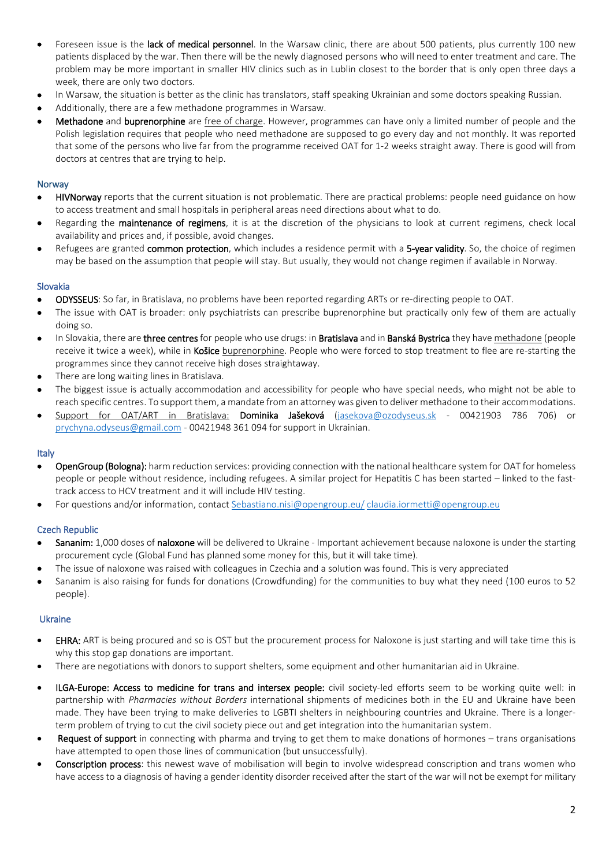- Foreseen issue is the lack of medical personnel. In the Warsaw clinic, there are about 500 patients, plus currently 100 new patients displaced by the war. Then there will be the newly diagnosed persons who will need to enter treatment and care. The problem may be more important in smaller HIV clinics such as in Lublin closest to the border that is only open three days a week, there are only two doctors.
- In Warsaw, the situation is better as the clinic has translators, staff speaking Ukrainian and some doctors speaking Russian.
- Additionally, there are a few methadone programmes in Warsaw.
- Methadone and buprenorphine are free of charge. However, programmes can have only a limited number of people and the Polish legislation requires that people who need methadone are supposed to go every day and not monthly. It was reported that some of the persons who live far from the programme received OAT for 1-2 weeks straight away. There is good will from doctors at centres that are trying to help.

#### Norway

- HIVNorway reports that the current situation is not problematic. There are practical problems: people need guidance on how to access treatment and small hospitals in peripheral areas need directions about what to do.
- Regarding the **maintenance of regimens**, it is at the discretion of the physicians to look at current regimens, check local availability and prices and, if possible, avoid changes.
- Refugees are granted common protection, which includes a residence permit with a 5-year validity. So, the choice of regimen may be based on the assumption that people will stay. But usually, they would not change regimen if available in Norway.

#### Slovakia

- ODYSSEUS: So far, in Bratislava, no problems have been reported regarding ARTs or re-directing people to OAT.
- The issue with OAT is broader: only psychiatrists can prescribe buprenorphine but practically only few of them are actually doing so.
- In Slovakia, there are three centres for people who use drugs: in Bratislava and in Banská Bystrica they have methadone (people receive it twice a week), while in Košice buprenorphine. People who were forced to stop treatment to flee are re-starting the programmes since they cannot receive high doses straightaway.
- There are long waiting lines in Bratislava.
- The biggest issue is actually accommodation and accessibility for people who have special needs, who might not be able to reach specific centres. To support them, a mandate from an attorney was given to deliver methadone to their accommodations.
- Support for OAT/ART in Bratislava: Dominika Jašeková [\(jasekova@ozodyseus.sk](mailto:jasekova@ozodyseus.sk)  00421903 786 706) or [prychyna.odyseus@gmail.com -](mailto:prychyna.odyseus@gmail.com) 00421948 361 094 for support in Ukrainian.

#### Italy

- OpenGroup (Bologna): harm reduction services: providing connection with the national healthcare system for OAT for homeless people or people without residence, including refugees. A similar project for Hepatitis C has been started – linked to the fasttrack access to HCV treatment and it will include HIV testing.
- For questions and/or information, contact [Sebastiano.nisi@opengroup.eu/](mailto:Sebastiano.nisi@opengroup.eu/) [claudia.iormetti@opengroup.eu](mailto:claudia.iormetti@opengroup.eu)

#### Czech Republic

- Sananim: 1,000 doses of naloxone will be delivered to Ukraine Important achievement because naloxone is under the starting procurement cycle (Global Fund has planned some money for this, but it will take time).
- The issue of naloxone was raised with colleagues in Czechia and a solution was found. This is very appreciated
- Sananim is also raising for funds for donations (Crowdfunding) for the communities to buy what they need (100 euros to 52 people).

#### Ukraine

- **EHRA:** ART is being procured and so is OST but the procurement process for Naloxone is just starting and will take time this is why this stop gap donations are important.
- There are negotiations with donors to support shelters, some equipment and other humanitarian aid in Ukraine.
- ILGA-Europe: Access to medicine for trans and intersex people: civil society-led efforts seem to be working quite well: in partnership with *Pharmacies without Borders* international shipments of medicines both in the EU and Ukraine have been made. They have been trying to make deliveries to LGBTI shelters in neighbouring countries and Ukraine. There is a longerterm problem of trying to cut the civil society piece out and get integration into the humanitarian system.
- Request of support in connecting with pharma and trying to get them to make donations of hormones trans organisations have attempted to open those lines of communication (but unsuccessfully).
- Conscription process: this newest wave of mobilisation will begin to involve widespread conscription and trans women who have access to a diagnosis of having a gender identity disorder received after the start of the war will not be exempt for military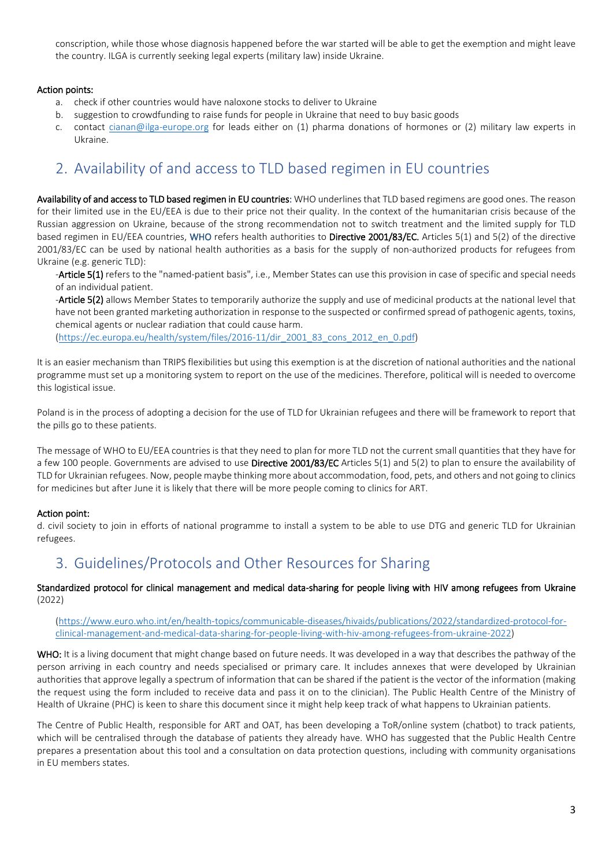conscription, while those whose diagnosis happened before the war started will be able to get the exemption and might leave the country. ILGA is currently seeking legal experts (military law) inside Ukraine.

#### Action points:

- a. check if other countries would have naloxone stocks to deliver to Ukraine
- b. suggestion to crowdfunding to raise funds for people in Ukraine that need to buy basic goods
- c. contact [cianan@ilga-europe.org](mailto:cianan@ilga-europe.org) for leads either on (1) pharma donations of hormones or (2) military law experts in Ukraine.

## <span id="page-2-0"></span>2. Availability of and access to TLD based regimen in EU countries

Availability of and access to TLD based regimen in EU countries: WHO underlines that TLD based regimens are good ones. The reason for their limited use in the EU/EEA is due to their price not their quality. In the context of the humanitarian crisis because of the Russian aggression on Ukraine, because of the strong recommendation not to switch treatment and the limited supply for TLD based regimen in EU/EEA countries, WHO refers health authorities to Directive 2001/83/EC. Articles 5(1) and 5(2) of the directive 2001/83/EC can be used by national health authorities as a basis for the supply of non-authorized products for refugees from Ukraine (e.g. generic TLD):

-Article 5(1) refers to the "named-patient basis", i.e., Member States can use this provision in case of specific and special needs of an individual patient.

-Article 5(2) allows Member States to temporarily authorize the supply and use of medicinal products at the national level that have not been granted marketing authorization in response to the suspected or confirmed spread of pathogenic agents, toxins, chemical agents or nuclear radiation that could cause harm.

[\(https://ec.europa.eu/health/system/files/2016-11/dir\\_2001\\_83\\_cons\\_2012\\_en\\_0.pdf\)](https://ec.europa.eu/health/system/files/2016-11/dir_2001_83_cons_2012_en_0.pdf)

It is an easier mechanism than TRIPS flexibilities but using this exemption is at the discretion of national authorities and the national programme must set up a monitoring system to report on the use of the medicines. Therefore, political will is needed to overcome this logistical issue.

Poland is in the process of adopting a decision for the use of TLD for Ukrainian refugees and there will be framework to report that the pills go to these patients.

The message of WHO to EU/EEA countries is that they need to plan for more TLD not the current small quantities that they have for a few 100 people. Governments are advised to use Directive 2001/83/EC Articles 5(1) and 5(2) to plan to ensure the availability of TLD for Ukrainian refugees. Now, people maybe thinking more about accommodation, food, pets, and others and not going to clinics for medicines but after June it is likely that there will be more people coming to clinics for ART.

#### Action point:

d. civil society to join in efforts of national programme to install a system to be able to use DTG and generic TLD for Ukrainian refugees.

## 3. Guidelines/Protocols and Other Resources for Sharing

Standardized protocol for clinical management and medical data-sharing for people living with HIV among refugees from Ukraine (2022)

[\(https://www.euro.who.int/en/health-topics/communicable-diseases/hivaids/publications/2022/standardized-protocol-for](https://www.euro.who.int/en/health-topics/communicable-diseases/hivaids/publications/2022/standardized-protocol-for-clinical-management-and-medical-data-sharing-for-people-living-with-hiv-among-refugees-from-ukraine-2022)[clinical-management-and-medical-data-sharing-for-people-living-with-hiv-among-refugees-from-ukraine-2022\)](https://www.euro.who.int/en/health-topics/communicable-diseases/hivaids/publications/2022/standardized-protocol-for-clinical-management-and-medical-data-sharing-for-people-living-with-hiv-among-refugees-from-ukraine-2022)

WHO: It is a living document that might change based on future needs. It was developed in a way that describes the pathway of the person arriving in each country and needs specialised or primary care. It includes annexes that were developed by Ukrainian authorities that approve legally a spectrum of information that can be shared if the patient is the vector of the information (making the request using the form included to receive data and pass it on to the clinician). The Public Health Centre of the Ministry of Health of Ukraine (PHC) is keen to share this document since it might help keep track of what happens to Ukrainian patients.

The Centre of Public Health, responsible for ART and OAT, has been developing a ToR/online system (chatbot) to track patients, which will be centralised through the database of patients they already have. WHO has suggested that the Public Health Centre prepares a presentation about this tool and a consultation on data protection questions, including with community organisations in EU members states.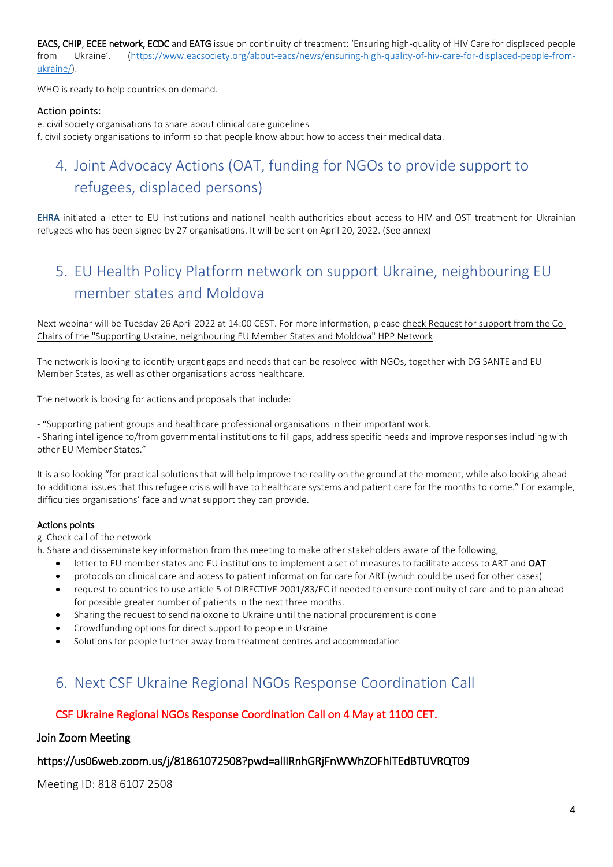EACS, CHIP, ECEE network, ECDC and EATG issue on continuity of treatment: 'Ensuring high-quality of HIV Care for displaced people from Ukraine'. [\(https://www.eacsociety.org/about-eacs/news/ensuring-high-quality-of-hiv-care-for-displaced-people-from](https://www.eacsociety.org/about-eacs/news/ensuring-high-quality-of-hiv-care-for-displaced-people-from-ukraine/)[ukraine/\)](https://www.eacsociety.org/about-eacs/news/ensuring-high-quality-of-hiv-care-for-displaced-people-from-ukraine/).

WHO is ready to help countries on demand.

#### Action points:

e. civil society organisations to share about clinical care guidelines f. civil society organisations to inform so that people know about how to access their medical data.

# <span id="page-3-0"></span>4. Joint Advocacy Actions (OAT, funding for NGOs to provide support to refugees, displaced persons)

EHRA initiated a letter to EU institutions and national health authorities about access to HIV and OST treatment for Ukrainian refugees who has been signed by 27 organisations. It will be sent on April 20, 2022. (See annex)

## <span id="page-3-1"></span>5. EU Health Policy Platform network on support Ukraine, neighbouring EU member states and Moldova

Next webinar will be Tuesday 26 April 2022 at 14:00 CEST. For more information, please check [Request for support from the Co-](https://eur02.safelinks.protection.outlook.com/?url=https%3A%2F%2Fwebgate.ec.europa.eu%2Fhpf%2Fitem%2Fitem%2F47260&data=05%7C01%7Cannisabelle.vonlingen%40eatg.org%7C3929599281c74436bad708da22c3ceb4%7C02b8c49036744b0fbe613f624eda8541%7C0%7C0%7C637860521648498591%7CUnknown%7CTWFpbGZsb3d8eyJWIjoiMC4wLjAwMDAiLCJQIjoiV2luMzIiLCJBTiI6Ik1haWwiLCJXVCI6Mn0%3D%7C3000%7C%7C%7C&sdata=eOxv1%2B6rH1608y1xM4Dctpabi5G9fIpLoiq4kadtT5g%3D&reserved=0)[Chairs of the "Supporting Ukraine, neighbouring EU Member States and Moldova" HPP Network](https://eur02.safelinks.protection.outlook.com/?url=https%3A%2F%2Fwebgate.ec.europa.eu%2Fhpf%2Fitem%2Fitem%2F47260&data=05%7C01%7Cannisabelle.vonlingen%40eatg.org%7C3929599281c74436bad708da22c3ceb4%7C02b8c49036744b0fbe613f624eda8541%7C0%7C0%7C637860521648498591%7CUnknown%7CTWFpbGZsb3d8eyJWIjoiMC4wLjAwMDAiLCJQIjoiV2luMzIiLCJBTiI6Ik1haWwiLCJXVCI6Mn0%3D%7C3000%7C%7C%7C&sdata=eOxv1%2B6rH1608y1xM4Dctpabi5G9fIpLoiq4kadtT5g%3D&reserved=0)

The network is looking to identify urgent gaps and needs that can be resolved with NGOs, together with DG SANTE and EU Member States, as well as other organisations across healthcare.

The network is looking for actions and proposals that include:

- "Supporting patient groups and healthcare professional organisations in their important work.

- Sharing intelligence to/from governmental institutions to fill gaps, address specific needs and improve responses including with other EU Member States."

It is also looking "for practical solutions that will help improve the reality on the ground at the moment, while also looking ahead to additional issues that this refugee crisis will have to healthcare systems and patient care for the months to come." For example, difficulties organisations' face and what support they can provide.

#### Actions points

g. Check call of the network

h. Share and disseminate key information from this meeting to make other stakeholders aware of the following,

- letter to EU member states and EU institutions to implement a set of measures to facilitate access to ART and OAT
- protocols on clinical care and access to patient information for care for ART (which could be used for other cases)
- request to countries to use article 5 of DIRECTIVE 2001/83/EC if needed to ensure continuity of care and to plan ahead for possible greater number of patients in the next three months.
- Sharing the request to send naloxone to Ukraine until the national procurement is done
- Crowdfunding options for direct support to people in Ukraine
- Solutions for people further away from treatment centres and accommodation

## <span id="page-3-2"></span>6. Next CSF Ukraine Regional NGOs Response Coordination Call

### CSF Ukraine Regional NGOs Response Coordination Call on 4 May at 1100 CET.

#### Join Zoom Meeting

### https://us06web.zoom.us/j/81861072508?pwd=allIRnhGRjFnWWhZOFhlTEdBTUVRQT09

Meeting ID: 818 6107 2508